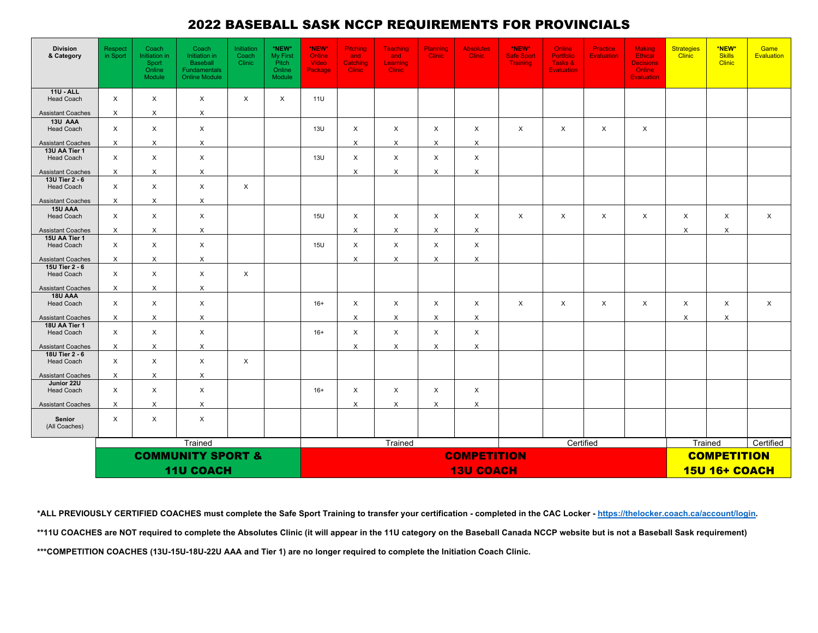## 2022 BASEBALL SASK NCCP REQUIREMENTS FOR PROVINCIALS

| <b>Division</b><br>& Category             | Respect<br>in Sport          | Coach<br>Initiation in<br>Sport<br>Online<br>Module | Coach<br>Initiation in<br>Baseball<br>Fundamentals<br><b>Online Module</b> | Initiation<br>Coach<br>Clinic | *NEW*<br><b>My First</b><br>Pitch<br>Online<br>Module | *NEW*<br>Online<br>Video<br>Package | <b>Pitching</b><br>and<br>Catching<br><b>Clinic</b> | <b>Teaching</b><br>and<br>Learning<br><b>Clinic</b> | Planning<br><b>Clinic</b> | <b>Absolutes</b><br><b>Clinic</b> | *NEW*<br><b>Safe Sport</b><br><b>Training</b> | Online<br><b>Portfolio</b><br>Tasks &<br><b>Evaluation</b> | <b>Practice</b><br><b>Evaluation</b> | <b>Making</b><br><b>Ethical</b><br><b>Decisions</b><br>Online<br><b>Evaluation</b> | <b>Strategies</b><br><b>Clinic</b> | *NEW*<br><b>Skills</b><br><b>Clinic</b> | Game<br>Evaluation |  |
|-------------------------------------------|------------------------------|-----------------------------------------------------|----------------------------------------------------------------------------|-------------------------------|-------------------------------------------------------|-------------------------------------|-----------------------------------------------------|-----------------------------------------------------|---------------------------|-----------------------------------|-----------------------------------------------|------------------------------------------------------------|--------------------------------------|------------------------------------------------------------------------------------|------------------------------------|-----------------------------------------|--------------------|--|
| <b>11U - ALL</b><br><b>Head Coach</b>     | X                            | $\times$                                            | X                                                                          | X                             | $\boldsymbol{\mathsf{x}}$                             | 11U                                 |                                                     |                                                     |                           |                                   |                                               |                                                            |                                      |                                                                                    |                                    |                                         |                    |  |
| <b>Assistant Coaches</b>                  | $\boldsymbol{\mathsf{X}}$    | $\times$                                            | $\mathsf{X}$                                                               |                               |                                                       |                                     |                                                     |                                                     |                           |                                   |                                               |                                                            |                                      |                                                                                    |                                    |                                         |                    |  |
| 13U AAA                                   |                              |                                                     |                                                                            |                               |                                                       |                                     |                                                     |                                                     |                           |                                   |                                               |                                                            |                                      |                                                                                    |                                    |                                         |                    |  |
| <b>Head Coach</b>                         | X                            | $\times$                                            | $\mathsf X$                                                                |                               |                                                       | 13U                                 | X                                                   | $\times$                                            | X                         | $\pmb{\times}$                    | X                                             | $\times$                                                   | $\times$                             | X                                                                                  |                                    |                                         |                    |  |
| <b>Assistant Coaches</b><br>13U AA Tier 1 | $\boldsymbol{\mathsf{X}}$    | $\times$                                            | $\mathsf X$                                                                |                               |                                                       |                                     | X                                                   | X                                                   | $\times$                  | X                                 |                                               |                                                            |                                      |                                                                                    |                                    |                                         |                    |  |
| <b>Head Coach</b>                         | $\pmb{\times}$               | $\times$                                            | $\boldsymbol{\mathsf{X}}$                                                  |                               |                                                       | 13U                                 | X                                                   | $\times$                                            | X                         | $\mathsf X$                       |                                               |                                                            |                                      |                                                                                    |                                    |                                         |                    |  |
| <b>Assistant Coaches</b>                  | $\boldsymbol{\mathsf{X}}$    | $\times$                                            | $\times$                                                                   |                               |                                                       |                                     | X                                                   | $\times$                                            | $\times$                  | X                                 |                                               |                                                            |                                      |                                                                                    |                                    |                                         |                    |  |
| 13U Tier 2 - 6<br><b>Head Coach</b>       | $\times$                     | $\times$                                            | $\times$                                                                   | $\times$                      |                                                       |                                     |                                                     |                                                     |                           |                                   |                                               |                                                            |                                      |                                                                                    |                                    |                                         |                    |  |
| <b>Assistant Coaches</b>                  | $\boldsymbol{\mathsf{X}}$    | $\boldsymbol{\mathsf{X}}$                           | $\times$                                                                   |                               |                                                       |                                     |                                                     |                                                     |                           |                                   |                                               |                                                            |                                      |                                                                                    |                                    |                                         |                    |  |
| 15U AAA<br><b>Head Coach</b>              | $\pmb{\times}$               | $\times$                                            | $\boldsymbol{\mathsf{X}}$                                                  |                               |                                                       | <b>15U</b>                          | $\times$                                            | $\times$                                            | $\times$                  | $\times$                          | X                                             | $\times$                                                   | $\times$                             | X                                                                                  | X                                  | X                                       | $\times$           |  |
| <b>Assistant Coaches</b>                  | $\times$                     | $\times$                                            | $\times$                                                                   |                               |                                                       |                                     | $\times$                                            | $\times$                                            | $\times$                  | $\times$                          |                                               |                                                            |                                      |                                                                                    | $\times$                           | $\times$                                |                    |  |
| 15U AA Tier 1<br><b>Head Coach</b>        | $\times$                     | $\times$                                            | $\boldsymbol{\mathsf{X}}$                                                  |                               |                                                       | <b>15U</b>                          | X                                                   | $\times$                                            | $\times$                  | $\times$                          |                                               |                                                            |                                      |                                                                                    |                                    |                                         |                    |  |
| <b>Assistant Coaches</b>                  | X                            | $\times$                                            | $\times$                                                                   |                               |                                                       |                                     | X                                                   | X                                                   | X                         | X                                 |                                               |                                                            |                                      |                                                                                    |                                    |                                         |                    |  |
| 15U Tier 2 - 6<br>Head Coach              | X                            | $\boldsymbol{\mathsf{X}}$                           | $\times$                                                                   | $\times$                      |                                                       |                                     |                                                     |                                                     |                           |                                   |                                               |                                                            |                                      |                                                                                    |                                    |                                         |                    |  |
| <b>Assistant Coaches</b>                  | $\boldsymbol{\mathsf{X}}$    | $\times$                                            | $\times$                                                                   |                               |                                                       |                                     |                                                     |                                                     |                           |                                   |                                               |                                                            |                                      |                                                                                    |                                    |                                         |                    |  |
| 18U AAA                                   |                              |                                                     |                                                                            |                               |                                                       |                                     |                                                     |                                                     |                           |                                   |                                               |                                                            |                                      |                                                                                    |                                    |                                         |                    |  |
| <b>Head Coach</b>                         | X                            | $\times$                                            | $\mathsf X$                                                                |                               |                                                       | $16+$                               | X                                                   | $\times$                                            | $\times$                  | $\times$                          | X                                             | $\times$                                                   | $\times$                             | X                                                                                  | X                                  | X                                       | $\times$           |  |
| <b>Assistant Coaches</b><br>18U AA Tier 1 | X                            | X                                                   | $\times$                                                                   |                               |                                                       |                                     | X                                                   | $\times$                                            | X                         | X                                 |                                               |                                                            |                                      |                                                                                    | X                                  | X                                       |                    |  |
| <b>Head Coach</b>                         | X                            | $\times$                                            | $\boldsymbol{\mathsf{X}}$                                                  |                               |                                                       | $16+$                               | X                                                   | $\times$                                            | $\times$                  | $\times$                          |                                               |                                                            |                                      |                                                                                    |                                    |                                         |                    |  |
| <b>Assistant Coaches</b>                  | X                            | $\times$                                            | X                                                                          |                               |                                                       |                                     | X                                                   | X                                                   | X                         | X                                 |                                               |                                                            |                                      |                                                                                    |                                    |                                         |                    |  |
| 18U Tier 2 - 6<br><b>Head Coach</b>       | $\times$                     | $\times$                                            | $\boldsymbol{\mathsf{X}}$                                                  | $\times$                      |                                                       |                                     |                                                     |                                                     |                           |                                   |                                               |                                                            |                                      |                                                                                    |                                    |                                         |                    |  |
| <b>Assistant Coaches</b>                  | X                            | X                                                   | X                                                                          |                               |                                                       |                                     |                                                     |                                                     |                           |                                   |                                               |                                                            |                                      |                                                                                    |                                    |                                         |                    |  |
| Junior 22U<br><b>Head Coach</b>           | X                            | $\times$                                            | $\times$                                                                   |                               |                                                       | $16+$                               | X                                                   | $\times$                                            | $\times$                  | $\times$                          |                                               |                                                            |                                      |                                                                                    |                                    |                                         |                    |  |
| <b>Assistant Coaches</b>                  | X                            | X                                                   | X                                                                          |                               |                                                       |                                     | X                                                   | X                                                   | X                         | X                                 |                                               |                                                            |                                      |                                                                                    |                                    |                                         |                    |  |
| Senior<br>(All Coaches)                   | X                            | $\times$                                            | $\times$                                                                   |                               |                                                       |                                     |                                                     |                                                     |                           |                                   |                                               |                                                            |                                      |                                                                                    |                                    |                                         |                    |  |
|                                           |                              |                                                     | Trained                                                                    |                               | Trained<br>Certified                                  |                                     |                                                     |                                                     |                           |                                   |                                               |                                                            |                                      | Trained                                                                            | Certified                          |                                         |                    |  |
|                                           | <b>COMMUNITY SPORT &amp;</b> |                                                     |                                                                            |                               |                                                       |                                     | <b>COMPETITION</b>                                  |                                                     |                           |                                   |                                               |                                                            |                                      |                                                                                    |                                    | <b>COMPETITION</b>                      |                    |  |
|                                           |                              |                                                     | <b>11U COACH</b>                                                           |                               |                                                       | <b>13U COACH</b>                    |                                                     |                                                     |                           |                                   |                                               |                                                            |                                      |                                                                                    | <b>15U 16+ COACH</b>               |                                         |                    |  |

\*ALL PREVIOUSLY CERTIFIED COACHES must complete the Safe Sport Training to transfer your certification - completed in the CAC Locker - https://thelocker.coach.ca/account/login. \*\*11U COACHES are NOT required to complete the Absolutes Clinic (it will appear in the 11U category on the Baseball Canada NCCP website but is not a Baseball Sask requirement) **\*\*\*COMPETITION COACHES (13U-15U-18U-22U AAA and Tier 1) are no longer required to complete the Initiation Coach Clinic.**